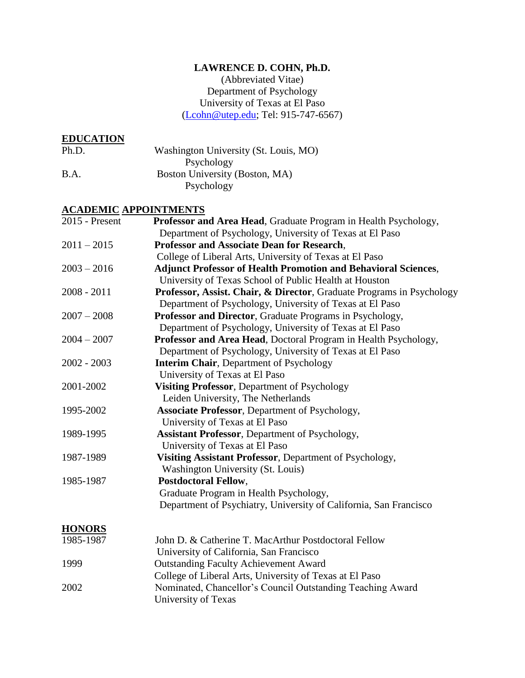# **LAWRENCE D. COHN, Ph.D.**

(Abbreviated Vitae) Department of Psychology University of Texas at El Paso [\(Lcohn@utep.edu;](mailto:Lcohn@utep.edu) Tel: 915-747-6567)

# **EDUCATION**

| <b>EDUCATION</b> |                                       |
|------------------|---------------------------------------|
| Ph.D.            | Washington University (St. Louis, MO) |
|                  | Psychology                            |
| B.A.             | Boston University (Boston, MA)        |
|                  | Psychology                            |

# **ACADEMIC APPOINTMENTS**

| 2015 - Present | Professor and Area Head, Graduate Program in Health Psychology,       |
|----------------|-----------------------------------------------------------------------|
|                | Department of Psychology, University of Texas at El Paso              |
| $2011 - 2015$  | Professor and Associate Dean for Research,                            |
|                | College of Liberal Arts, University of Texas at El Paso               |
| $2003 - 2016$  | <b>Adjunct Professor of Health Promotion and Behavioral Sciences,</b> |
|                | University of Texas School of Public Health at Houston                |
| $2008 - 2011$  | Professor, Assist. Chair, & Director, Graduate Programs in Psychology |
|                | Department of Psychology, University of Texas at El Paso              |
| $2007 - 2008$  | Professor and Director, Graduate Programs in Psychology,              |
|                | Department of Psychology, University of Texas at El Paso              |
| $2004 - 2007$  | Professor and Area Head, Doctoral Program in Health Psychology,       |
|                | Department of Psychology, University of Texas at El Paso              |
| $2002 - 2003$  | <b>Interim Chair, Department of Psychology</b>                        |
|                | University of Texas at El Paso                                        |
| 2001-2002      | Visiting Professor, Department of Psychology                          |
|                | Leiden University, The Netherlands                                    |
| 1995-2002      | <b>Associate Professor</b> , Department of Psychology,                |
|                | University of Texas at El Paso                                        |
| 1989-1995      | <b>Assistant Professor</b> , Department of Psychology,                |
|                | University of Texas at El Paso                                        |
| 1987-1989      | Visiting Assistant Professor, Department of Psychology,               |
|                | Washington University (St. Louis)                                     |
| 1985-1987      | <b>Postdoctoral Fellow,</b>                                           |
|                | Graduate Program in Health Psychology,                                |
|                | Department of Psychiatry, University of California, San Francisco     |
| <b>HONORS</b>  |                                                                       |
| 1985-1987      | John D. & Catherine T. MacArthur Postdoctoral Fellow                  |
|                | University of California, San Francisco                               |
| 1999           | <b>Outstanding Faculty Achievement Award</b>                          |
|                | College of Liberal Arts, University of Texas at El Paso               |
| 2002           | Nominated, Chancellor's Council Outstanding Teaching Award            |
|                | University of Texas                                                   |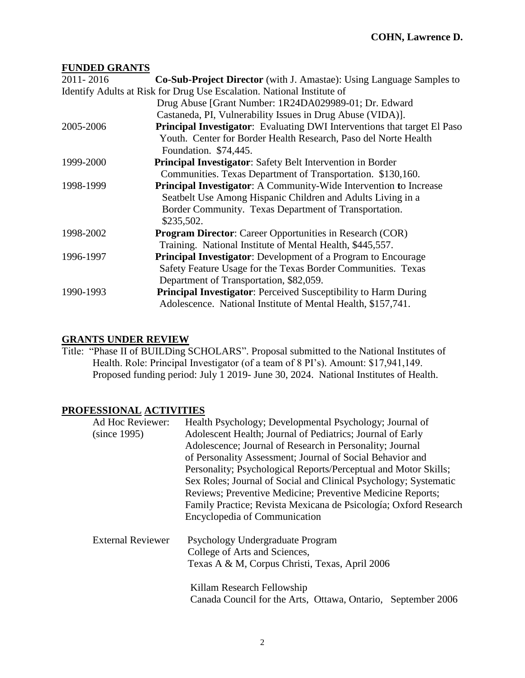### **FUNDED GRANTS**

| 2011-2016 | <b>Co-Sub-Project Director</b> (with J. Amastae): Using Language Samples to     |
|-----------|---------------------------------------------------------------------------------|
|           | Identify Adults at Risk for Drug Use Escalation. National Institute of          |
|           | Drug Abuse [Grant Number: 1R24DA029989-01; Dr. Edward                           |
|           | Castaneda, PI, Vulnerability Issues in Drug Abuse (VIDA)].                      |
| 2005-2006 | <b>Principal Investigator:</b> Evaluating DWI Interventions that target El Paso |
|           | Youth. Center for Border Health Research, Paso del Norte Health                 |
|           | Foundation. \$74,445.                                                           |
| 1999-2000 | <b>Principal Investigator:</b> Safety Belt Intervention in Border               |
|           | Communities. Texas Department of Transportation. \$130,160.                     |
| 1998-1999 | <b>Principal Investigator:</b> A Community-Wide Intervention to Increase        |
|           | Seatbelt Use Among Hispanic Children and Adults Living in a                     |
|           | Border Community. Texas Department of Transportation.                           |
|           | \$235,502.                                                                      |
| 1998-2002 | <b>Program Director:</b> Career Opportunities in Research (COR)                 |
|           | Training. National Institute of Mental Health, \$445,557.                       |
| 1996-1997 | <b>Principal Investigator:</b> Development of a Program to Encourage            |
|           | Safety Feature Usage for the Texas Border Communities. Texas                    |
|           | Department of Transportation, \$82,059.                                         |
| 1990-1993 | <b>Principal Investigator:</b> Perceived Susceptibility to Harm During          |
|           | Adolescence. National Institute of Mental Health, \$157,741.                    |

# **GRANTS UNDER REVIEW**

Title: "Phase II of BUILDing SCHOLARS". Proposal submitted to the National Institutes of Health. Role: Principal Investigator (of a team of 8 PI's). Amount: \$17,941,149. Proposed funding period: July 1 2019- June 30, 2024. National Institutes of Health.

# **PROFESSIONAL ACTIVITIES**

| Ad Hoc Reviewer:         | Health Psychology; Developmental Psychology; Journal of          |
|--------------------------|------------------------------------------------------------------|
| (since 1995)             | Adolescent Health; Journal of Pediatrics; Journal of Early       |
|                          | Adolescence; Journal of Research in Personality; Journal         |
|                          | of Personality Assessment; Journal of Social Behavior and        |
|                          | Personality; Psychological Reports/Perceptual and Motor Skills;  |
|                          | Sex Roles; Journal of Social and Clinical Psychology; Systematic |
|                          | Reviews; Preventive Medicine; Preventive Medicine Reports;       |
|                          | Family Practice; Revista Mexicana de Psicología; Oxford Research |
|                          | Encyclopedia of Communication                                    |
| <b>External Reviewer</b> | Psychology Undergraduate Program                                 |
|                          | College of Arts and Sciences,                                    |
|                          | Texas A & M, Corpus Christi, Texas, April 2006                   |
|                          | Killam Research Fellowship                                       |
|                          | Canada Council for the Arts, Ottawa, Ontario, September 2006     |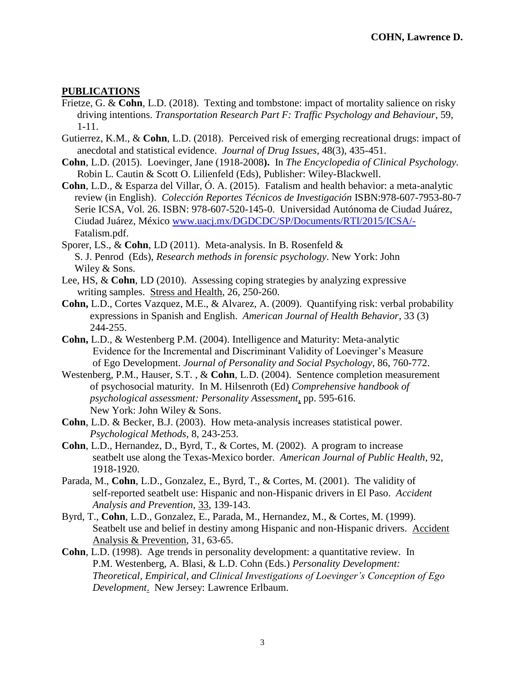### **PUBLICATIONS**

- Frietze, G. & **Cohn**, L.D. (2018). Texting and tombstone: impact of mortality salience on risky driving intentions. *Transportation Research Part F: Traffic Psychology and Behaviour*, 59, 1-11.
- Gutierrez, K.M., & **Cohn**, L.D. (2018). Perceived risk of emerging recreational drugs: impact of anecdotal and statistical evidence. *Journal of Drug Issues*, 48(3), 435-451.
- **Cohn**, L.D. (2015). Loevinger, Jane (1918-2008**).** In *The Encyclopedia of Clinical Psychology.* Robin L. Cautin & Scott O. Lilienfeld (Eds), Publisher: Wiley-Blackwell.
- **Cohn**, L.D., & Esparza del Villar, Ó. A. (2015). Fatalism and health behavior: a meta-analytic review (in English). *Colección Reportes Técnicos de Investigación* ISBN:978-607-7953-80-7 Serie ICSA, Vol. 26. ISBN: 978-607-520-145-0. Universidad Autónoma de Ciudad Juárez, Ciudad Juárez, México [www.uacj.mx/DGDCDC/SP/Documents/RTI/2015/ICSA/-](http://www.uacj.mx/DGDCDC/SP/Documents/RTI/2015/ICSA/-) Fatalism.pdf.
- Sporer, LS., & **Cohn**, LD (2011). Meta-analysis. In B. Rosenfeld & S. J. Penrod (Eds), *Research methods in forensic psychology*. New York: John Wiley & Sons.
- Lee, HS, & **Cohn**, LD (2010). Assessing coping strategies by analyzing expressive writing samples. Stress and Health, 26, 250-260.
- **Cohn,** L.D., Cortes Vazquez, M.E., & Alvarez, A. (2009). Quantifying risk: verbal probability expressions in Spanish and English. *American Journal of Health Behavior*, 33 (3) 244-255.
- **Cohn,** L.D., & Westenberg P.M. (2004). Intelligence and Maturity: Meta-analytic Evidence for the Incremental and Discriminant Validity of Loevinger's Measure of Ego Development. *Journal of Personality and Social Psychology*, 86, 760-772.
- Westenberg, P.M., Hauser, S.T. , & **Cohn**, L.D. (2004). Sentence completion measurement of psychosocial maturity. In M. Hilsenroth (Ed) *Comprehensive handbook of psychological assessment: Personality Assessment*, pp. 595-616. New York: John Wiley & Sons.
- **Cohn**, L.D. & Becker, B.J. (2003). How meta-analysis increases statistical power.  *Psychological Methods*, 8, 243-253.
- **Cohn**, L.D., Hernandez, D., Byrd, T., & Cortes, M. (2002). A program to increase seatbelt use along the Texas-Mexico border. *American Journal of Public Health*, 92, 1918-1920.
- Parada, M., **Cohn**, L.D., Gonzalez, E., Byrd, T., & Cortes, M. (2001). The validity of self-reported seatbelt use: Hispanic and non-Hispanic drivers in El Paso. *Accident Analysis and Prevention*, 33, 139-143.
- Byrd, T., **Cohn**, L.D., Gonzalez, E., Parada, M., Hernandez, M., & Cortes, M. (1999). Seatbelt use and belief in destiny among Hispanic and non-Hispanic drivers. Accident Analysis & Prevention, 31, 63-65.
- **Cohn**, L.D. (1998). Age trends in personality development: a quantitative review. In P.M. Westenberg, A. Blasi, & L.D. Cohn (Eds.) *Personality Development: Theoretical, Empirical, and Clinical Investigations of Loevinger's Conception of Ego Development*. New Jersey: Lawrence Erlbaum.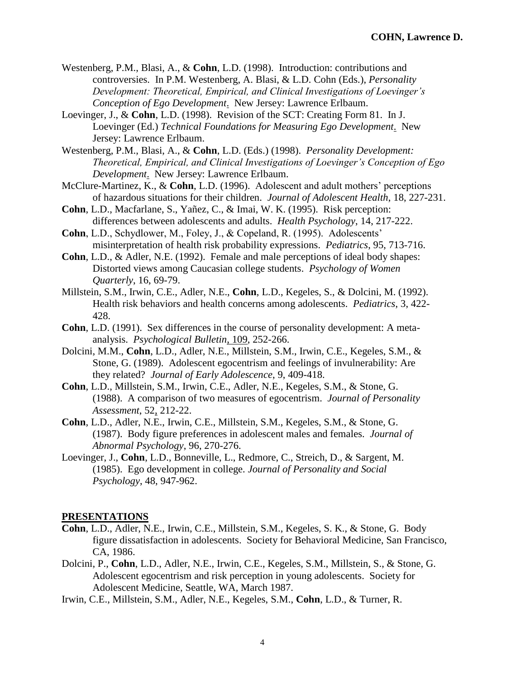- Westenberg, P.M., Blasi, A., & **Cohn**, L.D. (1998). Introduction: contributions and controversies. In P.M. Westenberg, A. Blasi, & L.D. Cohn (Eds.), *Personality Development: Theoretical, Empirical, and Clinical Investigations of Loevinger's Conception of Ego Development*. New Jersey: Lawrence Erlbaum.
- Loevinger, J., & **Cohn**, L.D. (1998). Revision of the SCT: Creating Form 81. In J. Loevinger (Ed.) *Technical Foundations for Measuring Ego Development*. New Jersey: Lawrence Erlbaum.
- Westenberg, P.M., Blasi, A., & **Cohn**, L.D. (Eds.) (1998). *Personality Development: Theoretical, Empirical, and Clinical Investigations of Loevinger's Conception of Ego Development*. New Jersey: Lawrence Erlbaum.
- McClure-Martinez, K., & **Cohn**, L.D. (1996). Adolescent and adult mothers' perceptions of hazardous situations for their children. *Journal of Adolescent Health*, 18, 227-231.
- **Cohn**, L.D., Macfarlane, S., Yañez, C., & Imai, W. K. (1995). Risk perception: differences between adolescents and adults. *Health Psychology*, 14, 217-222.
- **Cohn**, L.D., Schydlower, M., Foley, J., & Copeland, R. (1995). Adolescents' misinterpretation of health risk probability expressions. *Pediatrics*, 95, 713-716.
- **Cohn**, L.D., & Adler, N.E. (1992). Female and male perceptions of ideal body shapes: Distorted views among Caucasian college students. *Psychology of Women Quarterly*, 16, 69-79.
- Millstein, S.M., Irwin, C.E., Adler, N.E., **Cohn**, L.D., Kegeles, S., & Dolcini, M. (1992). Health risk behaviors and health concerns among adolescents. *Pediatrics*, 3, 422- 428.
- **Cohn**, L.D. (1991). Sex differences in the course of personality development: A metaanalysis. *Psychological Bulletin*, 109, 252-266.
- Dolcini, M.M., **Cohn**, L.D., Adler, N.E., Millstein, S.M., Irwin, C.E., Kegeles, S.M., & Stone, G. (1989). Adolescent egocentrism and feelings of invulnerability: Are they related? *Journal of Early Adolescence*, 9, 409-418.
- **Cohn**, L.D., Millstein, S.M., Irwin, C.E., Adler, N.E., Kegeles, S.M., & Stone, G. (1988). A comparison of two measures of egocentrism. *Journal of Personality Assessment*, 52, 212-22.
- **Cohn**, L.D., Adler, N.E., Irwin, C.E., Millstein, S.M., Kegeles, S.M., & Stone, G. (1987). Body figure preferences in adolescent males and females. *Journal of Abnormal Psychology*, 96, 270-276.
- Loevinger, J., **Cohn**, L.D., Bonneville, L., Redmore, C., Streich, D., & Sargent, M. (1985). Ego development in college. *Journal of Personality and Social Psychology*, 48, 947-962.

#### **PRESENTATIONS**

- **Cohn**, L.D., Adler, N.E., Irwin, C.E., Millstein, S.M., Kegeles, S. K., & Stone, G. Body figure dissatisfaction in adolescents. Society for Behavioral Medicine, San Francisco, CA, 1986.
- Dolcini, P., **Cohn**, L.D., Adler, N.E., Irwin, C.E., Kegeles, S.M., Millstein, S., & Stone, G. Adolescent egocentrism and risk perception in young adolescents. Society for Adolescent Medicine, Seattle, WA, March 1987.
- Irwin, C.E., Millstein, S.M., Adler, N.E., Kegeles, S.M., **Cohn**, L.D., & Turner, R.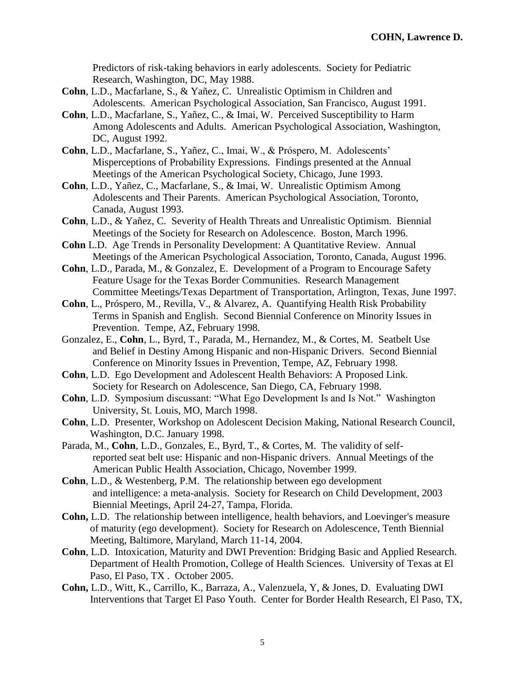Predictors of risk-taking behaviors in early adolescents. Society for Pediatric Research, Washington, DC, May 1988.

- **Cohn**, L.D., Macfarlane, S., & Yañez, C. Unrealistic Optimism in Children and Adolescents. American Psychological Association, San Francisco, August 1991.
- **Cohn**, L.D., Macfarlane, S., Yañez, C., & Imai, W. Perceived Susceptibility to Harm Among Adolescents and Adults. American Psychological Association, Washington, DC, August 1992.
- **Cohn**, L.D., Macfarlane, S., Yañez, C., Imai, W., & Próspero, M. Adolescents' Misperceptions of Probability Expressions. Findings presented at the Annual Meetings of the American Psychological Society, Chicago, June 1993.
- **Cohn**, L.D., Yañez, C., Macfarlane, S., & Imai, W. Unrealistic Optimism Among Adolescents and Their Parents. American Psychological Association, Toronto, Canada, August 1993.
- **Cohn**, L.D., & Yañez, C. Severity of Health Threats and Unrealistic Optimism. Biennial Meetings of the Society for Research on Adolescence. Boston, March 1996.
- **Cohn** L.D. Age Trends in Personality Development: A Quantitative Review. Annual Meetings of the American Psychological Association, Toronto, Canada, August 1996.
- **Cohn**, L.D., Parada, M., & Gonzalez, E. Development of a Program to Encourage Safety Feature Usage for the Texas Border Communities. Research Management Committee Meetings/Texas Department of Transportation, Arlington, Texas, June 1997.
- **Cohn**, L., Próspero, M., Revilla, V., & Alvarez, A. Quantifying Health Risk Probability Terms in Spanish and English. Second Biennial Conference on Minority Issues in Prevention. Tempe, AZ, February 1998.
- Gonzalez, E., **Cohn**, L., Byrd, T., Parada, M., Hernandez, M., & Cortes, M. Seatbelt Use and Belief in Destiny Among Hispanic and non-Hispanic Drivers. Second Biennial Conference on Minority Issues in Prevention, Tempe, AZ, February 1998.
- **Cohn**, L.D. Ego Development and Adolescent Health Behaviors: A Proposed Link. Society for Research on Adolescence, San Diego, CA, February 1998.
- **Cohn**, L.D. Symposium discussant: "What Ego Development Is and Is Not." Washington University, St. Louis, MO, March 1998.
- **Cohn**, L.D. Presenter, Workshop on Adolescent Decision Making, National Research Council, Washington, D.C. January 1998.
- Parada, M., **Cohn**, L.D., Gonzales, E., Byrd, T., & Cortes, M. The validity of selfreported seat belt use: Hispanic and non-Hispanic drivers. Annual Meetings of the American Public Health Association, Chicago, November 1999.
- **Cohn**, L.D., & Westenberg, P.M. The relationship between ego development and intelligence: a meta-analysis. Society for Research on Child Development, 2003 Biennial Meetings, April 24-27, Tampa, Florida.
- **Cohn,** L.D. The relationship between intelligence, health behaviors, and Loevinger's measure of maturity (ego development). Society for Research on Adolescence, Tenth Biennial Meeting, Baltimore, Maryland, March 11-14, 2004.
- **Cohn**, L.D. Intoxication, Maturity and DWI Prevention: Bridging Basic and Applied Research. Department of Health Promotion, College of Health Sciences. University of Texas at El Paso, El Paso, TX . October 2005.
- **Cohn,** L.D., Witt, K., Carrillo, K., Barraza, A., Valenzuela, Y, & Jones, D. Evaluating DWI Interventions that Target El Paso Youth. Center for Border Health Research, El Paso, TX,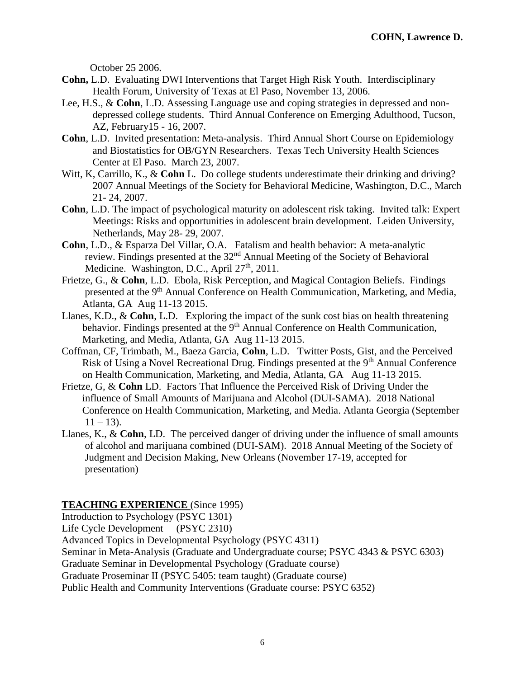October 25 2006.

- **Cohn,** L.D. Evaluating DWI Interventions that Target High Risk Youth. Interdisciplinary Health Forum, University of Texas at El Paso, November 13, 2006.
- Lee, H.S., & **Cohn**, L.D. Assessing Language use and coping strategies in depressed and non depressed college students. Third Annual Conference on Emerging Adulthood, Tucson, AZ, February15 - 16, 2007.
- **Cohn**, L.D. Invited presentation: Meta-analysis. Third Annual Short Course on Epidemiology and Biostatistics for OB/GYN Researchers. Texas Tech University Health Sciences Center at El Paso. March 23, 2007.
- Witt, K, Carrillo, K., & Cohn L. Do college students underestimate their drinking and driving? 2007 Annual Meetings of the Society for Behavioral Medicine, Washington, D.C., March 21- 24, 2007.
- **Cohn**, L.D. The impact of psychological maturity on adolescent risk taking. Invited talk: Expert Meetings: Risks and opportunities in adolescent brain development. Leiden University, Netherlands, May 28- 29, 2007.
- **Cohn**, L.D., & Esparza Del Villar, O.A. Fatalism and health behavior: A meta-analytic review. Findings presented at the 32nd Annual Meeting of the Society of Behavioral Medicine. Washington, D.C., April 27<sup>th</sup>, 2011.
- Frietze, G., & **Cohn**, L.D. Ebola, Risk Perception, and Magical Contagion Beliefs. Findings presented at the 9<sup>th</sup> Annual Conference on Health Communication, Marketing, and Media, Atlanta, GA Aug 11-13 2015.
- Llanes, K.D., & **Cohn**, L.D. Exploring the impact of the sunk cost bias on health threatening behavior. Findings presented at the 9<sup>th</sup> Annual Conference on Health Communication, Marketing, and Media, Atlanta, GA Aug 11-13 2015.
- Coffman, CF, Trimbath, M., Baeza Garcia, **Cohn**, L.D. Twitter Posts, Gist, and the Perceived Risk of Using a Novel Recreational Drug. Findings presented at the 9<sup>th</sup> Annual Conference on Health Communication, Marketing, and Media, Atlanta, GA Aug 11-13 2015.
- Frietze, G, & **Cohn** LD. Factors That Influence the Perceived Risk of Driving Under the influence of Small Amounts of Marijuana and Alcohol (DUI-SAMA). 2018 National Conference on Health Communication, Marketing, and Media. Atlanta Georgia (September  $11 - 13$ ).
- Llanes, K., & **Cohn**, LD. The perceived danger of driving under the influence of small amounts of alcohol and marijuana combined (DUI-SAM). 2018 Annual Meeting of the Society of Judgment and Decision Making, New Orleans (November 17-19, accepted for presentation)

### **TEACHING EXPERIENCE** (Since 1995)

Introduction to Psychology (PSYC 1301) Life Cycle Development (PSYC 2310) Advanced Topics in Developmental Psychology (PSYC 4311) Seminar in Meta-Analysis (Graduate and Undergraduate course; PSYC 4343 & PSYC 6303) Graduate Seminar in Developmental Psychology (Graduate course) Graduate Proseminar II (PSYC 5405: team taught) (Graduate course) Public Health and Community Interventions (Graduate course: PSYC 6352)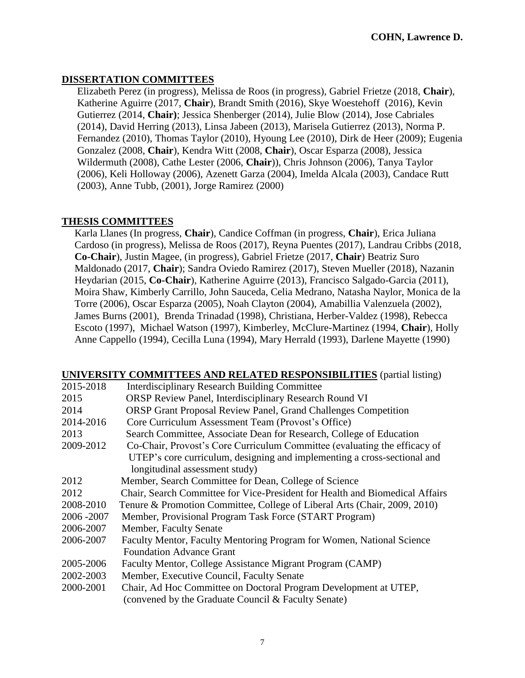# **DISSERTATION COMMITTEES**

 Elizabeth Perez (in progress), Melissa de Roos (in progress), Gabriel Frietze (2018, **Chair**), Katherine Aguirre (2017, **Chair**), Brandt Smith (2016), Skye Woestehoff (2016), Kevin Gutierrez (2014, **Chair)**; Jessica Shenberger (2014), Julie Blow (2014), Jose Cabriales (2014), David Herring (2013), Linsa Jabeen (2013), Marisela Gutierrez (2013), Norma P. Fernandez (2010), Thomas Taylor (2010), Hyoung Lee (2010), Dirk de Heer (2009); Eugenia Gonzalez (2008, **Chair**), Kendra Witt (2008, **Chair**), Oscar Esparza (2008), Jessica Wildermuth (2008), Cathe Lester (2006, **Chair**)), Chris Johnson (2006), Tanya Taylor (2006), Keli Holloway (2006), Azenett Garza (2004), Imelda Alcala (2003), Candace Rutt (2003), Anne Tubb, (2001), Jorge Ramirez (2000)

# **THESIS COMMITTEES**

 Karla Llanes (In progress, **Chair**), Candice Coffman (in progress, **Chair**), Erica Juliana Cardoso (in progress), Melissa de Roos (2017), Reyna Puentes (2017), Landrau Cribbs (2018, **Co-Chair**), Justin Magee, (in progress), Gabriel Frietze (2017, **Chair**) Beatriz Suro Maldonado (2017, **Chair**); Sandra Oviedo Ramirez (2017), Steven Mueller (2018), Nazanin Heydarian (2015, **Co-Chair**), Katherine Aguirre (2013), Francisco Salgado-Garcia (2011), Moira Shaw, Kimberly Carrillo, John Sauceda, Celia Medrano, Natasha Naylor, Monica de la Torre (2006), Oscar Esparza (2005), Noah Clayton (2004), Amabillia Valenzuela (2002), James Burns (2001), Brenda Trinadad (1998), Christiana, Herber-Valdez (1998), Rebecca Escoto (1997), Michael Watson (1997), Kimberley, McClure-Martinez (1994, **Chair**), Holly Anne Cappello (1994), Cecilla Luna (1994), Mary Herrald (1993), Darlene Mayette (1990)

### **UNIVERSITY COMMITTEES AND RELATED RESPONSIBILITIES** (partial listing)

| 2015-2018   | <b>Interdisciplinary Research Building Committee</b>                         |
|-------------|------------------------------------------------------------------------------|
| 2015        | ORSP Review Panel, Interdisciplinary Research Round VI                       |
| 2014        | <b>ORSP Grant Proposal Review Panel, Grand Challenges Competition</b>        |
| 2014-2016   | Core Curriculum Assessment Team (Provost's Office)                           |
| 2013        | Search Committee, Associate Dean for Research, College of Education          |
| 2009-2012   | Co-Chair, Provost's Core Curriculum Committee (evaluating the efficacy of    |
|             | UTEP's core curriculum, designing and implementing a cross-sectional and     |
|             | longitudinal assessment study)                                               |
| 2012        | Member, Search Committee for Dean, College of Science                        |
| 2012        | Chair, Search Committee for Vice-President for Health and Biomedical Affairs |
| 2008-2010   | Tenure & Promotion Committee, College of Liberal Arts (Chair, 2009, 2010)    |
| 2006 - 2007 | Member, Provisional Program Task Force (START Program)                       |
| 2006-2007   | Member, Faculty Senate                                                       |
| 2006-2007   | Faculty Mentor, Faculty Mentoring Program for Women, National Science        |
|             | <b>Foundation Advance Grant</b>                                              |
| 2005-2006   | Faculty Mentor, College Assistance Migrant Program (CAMP)                    |
| 2002-2003   | Member, Executive Council, Faculty Senate                                    |
| 2000-2001   | Chair, Ad Hoc Committee on Doctoral Program Development at UTEP,             |
|             | (convened by the Graduate Council & Faculty Senate)                          |